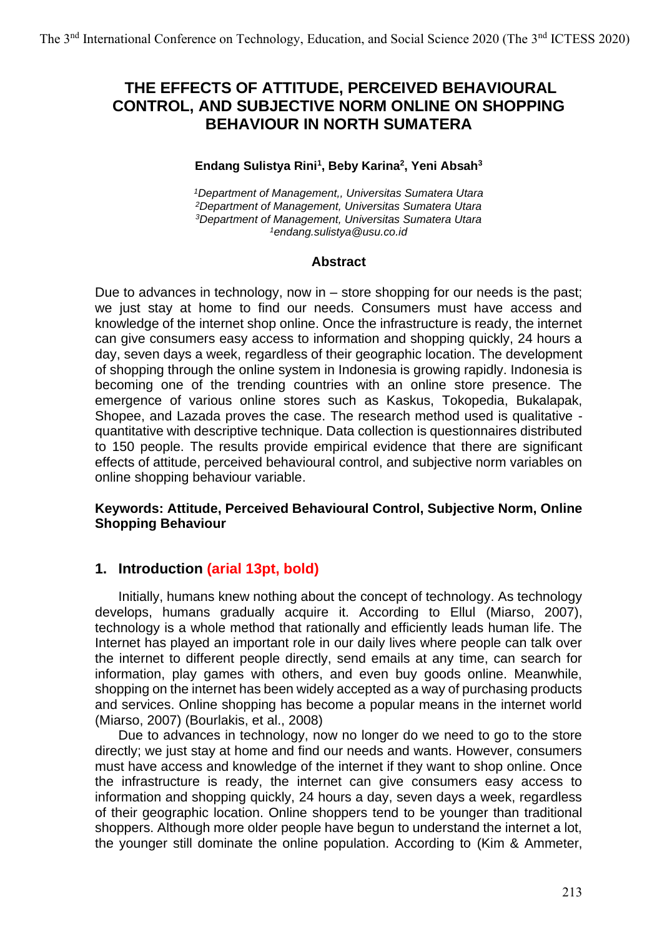# **THE EFFECTS OF ATTITUDE, PERCEIVED BEHAVIOURAL CONTROL, AND SUBJECTIVE NORM ONLINE ON SHOPPING BEHAVIOUR IN NORTH SUMATERA**

### **Endang Sulistya Rini<sup>1</sup> , Beby Karina<sup>2</sup> , Yeni Absah<sup>3</sup>**

*Department of Management,, Universitas Sumatera Utara Department of Management, Universitas Sumatera Utara Department of Management, Universitas Sumatera Utara endang.sulistya@usu.co.id*

#### **Abstract**

Due to advances in technology, now in – store shopping for our needs is the past; we just stay at home to find our needs. Consumers must have access and knowledge of the internet shop online. Once the infrastructure is ready, the internet can give consumers easy access to information and shopping quickly, 24 hours a day, seven days a week, regardless of their geographic location. The development of shopping through the online system in Indonesia is growing rapidly. Indonesia is becoming one of the trending countries with an online store presence. The emergence of various online stores such as Kaskus, Tokopedia, Bukalapak, Shopee, and Lazada proves the case. The research method used is qualitative quantitative with descriptive technique. Data collection is questionnaires distributed to 150 people. The results provide empirical evidence that there are significant effects of attitude, perceived behavioural control, and subjective norm variables on online shopping behaviour variable.

### **Keywords: Attitude, Perceived Behavioural Control, Subjective Norm, Online Shopping Behaviour**

## **1. Introduction (arial 13pt, bold)**

Initially, humans knew nothing about the concept of technology. As technology develops, humans gradually acquire it. According to Ellul (Miarso, 2007), technology is a whole method that rationally and efficiently leads human life. The Internet has played an important role in our daily lives where people can talk over the internet to different people directly, send emails at any time, can search for information, play games with others, and even buy goods online. Meanwhile, shopping on the internet has been widely accepted as a way of purchasing products and services. Online shopping has become a popular means in the internet world (Miarso, 2007) (Bourlakis, et al., 2008)

Due to advances in technology, now no longer do we need to go to the store directly; we just stay at home and find our needs and wants. However, consumers must have access and knowledge of the internet if they want to shop online. Once the infrastructure is ready, the internet can give consumers easy access to information and shopping quickly, 24 hours a day, seven days a week, regardless of their geographic location. Online shoppers tend to be younger than traditional shoppers. Although more older people have begun to understand the internet a lot, the younger still dominate the online population. According to (Kim & Ammeter,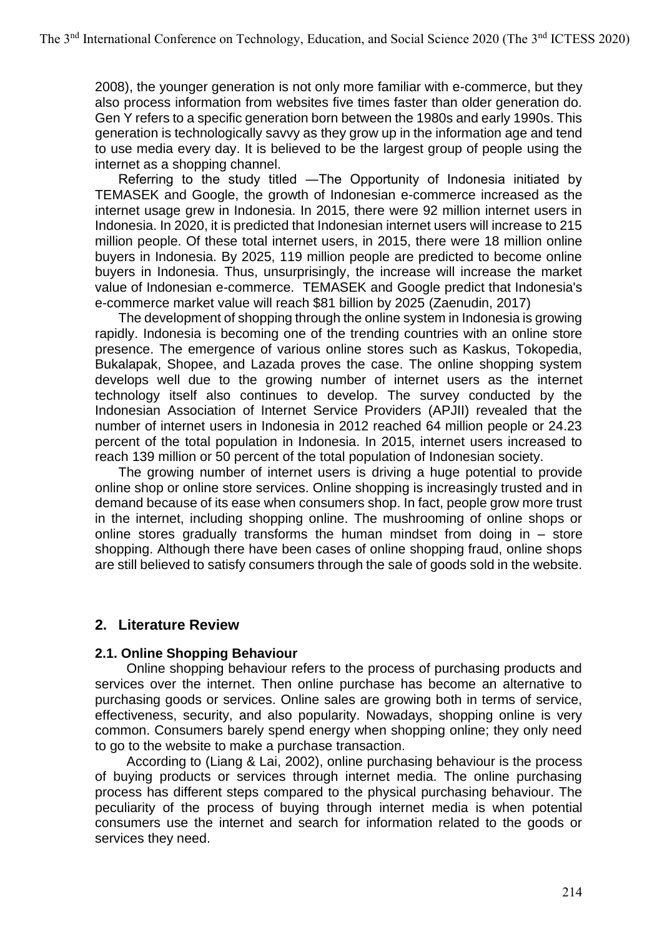2008), the younger generation is not only more familiar with e-commerce, but they also process information from websites five times faster than older generation do. Gen Y refers to a specific generation born between the 1980s and early 1990s. This generation is technologically savvy as they grow up in the information age and tend to use media every day. It is believed to be the largest group of people using the internet as a shopping channel.

Referring to the study titled ―The Opportunity of Indonesia initiated by TEMASEK and Google, the growth of Indonesian e-commerce increased as the internet usage grew in Indonesia. In 2015, there were 92 million internet users in Indonesia. In 2020, it is predicted that Indonesian internet users will increase to 215 million people. Of these total internet users, in 2015, there were 18 million online buyers in Indonesia. By 2025, 119 million people are predicted to become online buyers in Indonesia. Thus, unsurprisingly, the increase will increase the market value of Indonesian e-commerce. TEMASEK and Google predict that Indonesia's e-commerce market value will reach \$81 billion by 2025 (Zaenudin, 2017)

The development of shopping through the online system in Indonesia is growing rapidly. Indonesia is becoming one of the trending countries with an online store presence. The emergence of various online stores such as Kaskus, Tokopedia, Bukalapak, Shopee, and Lazada proves the case. The online shopping system develops well due to the growing number of internet users as the internet technology itself also continues to develop. The survey conducted by the Indonesian Association of Internet Service Providers (APJII) revealed that the number of internet users in Indonesia in 2012 reached 64 million people or 24.23 percent of the total population in Indonesia. In 2015, internet users increased to reach 139 million or 50 percent of the total population of Indonesian society.

The growing number of internet users is driving a huge potential to provide online shop or online store services. Online shopping is increasingly trusted and in demand because of its ease when consumers shop. In fact, people grow more trust in the internet, including shopping online. The mushrooming of online shops or online stores gradually transforms the human mindset from doing in  $-$  store shopping. Although there have been cases of online shopping fraud, online shops are still believed to satisfy consumers through the sale of goods sold in the website.

## **2. Literature Review**

### **2.1. Online Shopping Behaviour**

Online shopping behaviour refers to the process of purchasing products and services over the internet. Then online purchase has become an alternative to purchasing goods or services. Online sales are growing both in terms of service, effectiveness, security, and also popularity. Nowadays, shopping online is very common. Consumers barely spend energy when shopping online; they only need to go to the website to make a purchase transaction.

According to (Liang & Lai, 2002), online purchasing behaviour is the process of buying products or services through internet media. The online purchasing process has different steps compared to the physical purchasing behaviour. The peculiarity of the process of buying through internet media is when potential consumers use the internet and search for information related to the goods or services they need.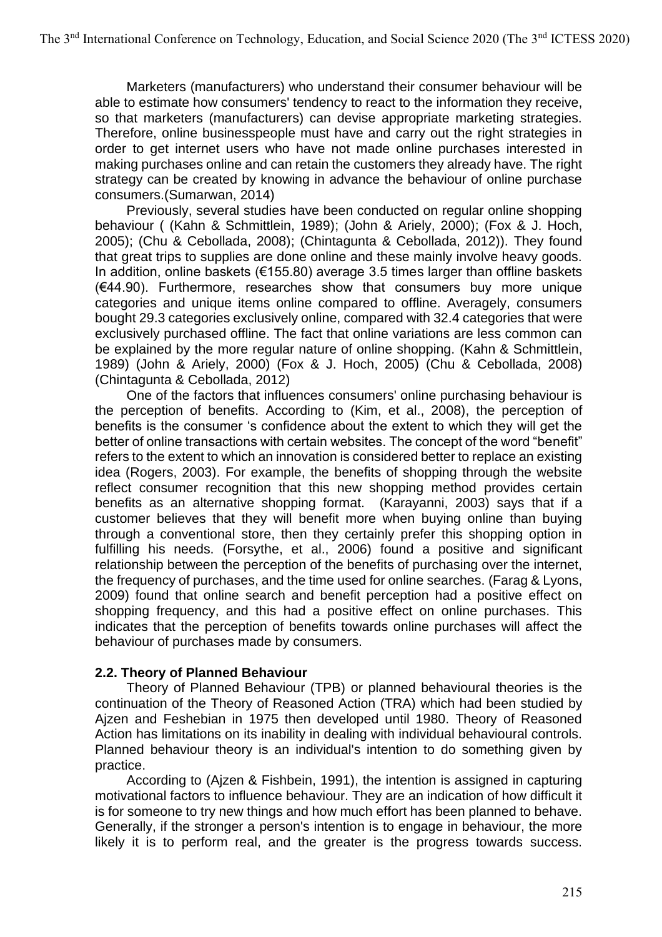Marketers (manufacturers) who understand their consumer behaviour will be able to estimate how consumers' tendency to react to the information they receive, so that marketers (manufacturers) can devise appropriate marketing strategies. Therefore, online businesspeople must have and carry out the right strategies in order to get internet users who have not made online purchases interested in making purchases online and can retain the customers they already have. The right strategy can be created by knowing in advance the behaviour of online purchase consumers.(Sumarwan, 2014)

Previously, several studies have been conducted on regular online shopping behaviour ( (Kahn & Schmittlein, 1989); (John & Ariely, 2000); (Fox & J. Hoch, 2005); (Chu & Cebollada, 2008); (Chintagunta & Cebollada, 2012)). They found that great trips to supplies are done online and these mainly involve heavy goods. In addition, online baskets ( $\epsilon$ 155.80) average 3.5 times larger than offline baskets (€44.90). Furthermore, researches show that consumers buy more unique categories and unique items online compared to offline. Averagely, consumers bought 29.3 categories exclusively online, compared with 32.4 categories that were exclusively purchased offline. The fact that online variations are less common can be explained by the more regular nature of online shopping. (Kahn & Schmittlein, 1989) (John & Ariely, 2000) (Fox & J. Hoch, 2005) (Chu & Cebollada, 2008) (Chintagunta & Cebollada, 2012)

One of the factors that influences consumers' online purchasing behaviour is the perception of benefits. According to (Kim, et al., 2008), the perception of benefits is the consumer 's confidence about the extent to which they will get the better of online transactions with certain websites. The concept of the word "benefit" refers to the extent to which an innovation is considered better to replace an existing idea (Rogers, 2003). For example, the benefits of shopping through the website reflect consumer recognition that this new shopping method provides certain benefits as an alternative shopping format. (Karayanni, 2003) says that if a customer believes that they will benefit more when buying online than buying through a conventional store, then they certainly prefer this shopping option in fulfilling his needs. (Forsythe, et al., 2006) found a positive and significant relationship between the perception of the benefits of purchasing over the internet, the frequency of purchases, and the time used for online searches. (Farag & Lyons, 2009) found that online search and benefit perception had a positive effect on shopping frequency, and this had a positive effect on online purchases. This indicates that the perception of benefits towards online purchases will affect the behaviour of purchases made by consumers.

### **2.2. Theory of Planned Behaviour**

Theory of Planned Behaviour (TPB) or planned behavioural theories is the continuation of the Theory of Reasoned Action (TRA) which had been studied by Ajzen and Feshebian in 1975 then developed until 1980. Theory of Reasoned Action has limitations on its inability in dealing with individual behavioural controls. Planned behaviour theory is an individual's intention to do something given by practice.

According to (Ajzen & Fishbein, 1991), the intention is assigned in capturing motivational factors to influence behaviour. They are an indication of how difficult it is for someone to try new things and how much effort has been planned to behave. Generally, if the stronger a person's intention is to engage in behaviour, the more likely it is to perform real, and the greater is the progress towards success.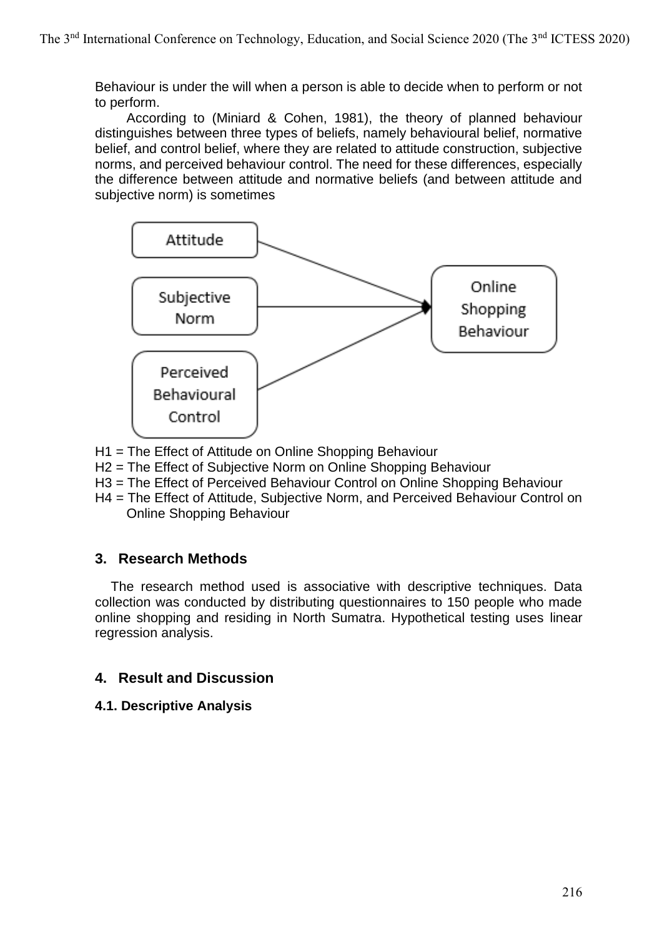Behaviour is under the will when a person is able to decide when to perform or not to perform.

According to (Miniard & Cohen, 1981), the theory of planned behaviour distinguishes between three types of beliefs, namely behavioural belief, normative belief, and control belief, where they are related to attitude construction, subjective norms, and perceived behaviour control. The need for these differences, especially the difference between attitude and normative beliefs (and between attitude and subjective norm) is sometimes



- H1 = The Effect of Attitude on Online Shopping Behaviour
- H2 = The Effect of Subjective Norm on Online Shopping Behaviour
- H3 = The Effect of Perceived Behaviour Control on Online Shopping Behaviour
- H4 = The Effect of Attitude, Subjective Norm, and Perceived Behaviour Control on Online Shopping Behaviour

## **3. Research Methods**

The research method used is associative with descriptive techniques. Data collection was conducted by distributing questionnaires to 150 people who made online shopping and residing in North Sumatra. Hypothetical testing uses linear regression analysis.

## **4. Result and Discussion**

**4.1. Descriptive Analysis**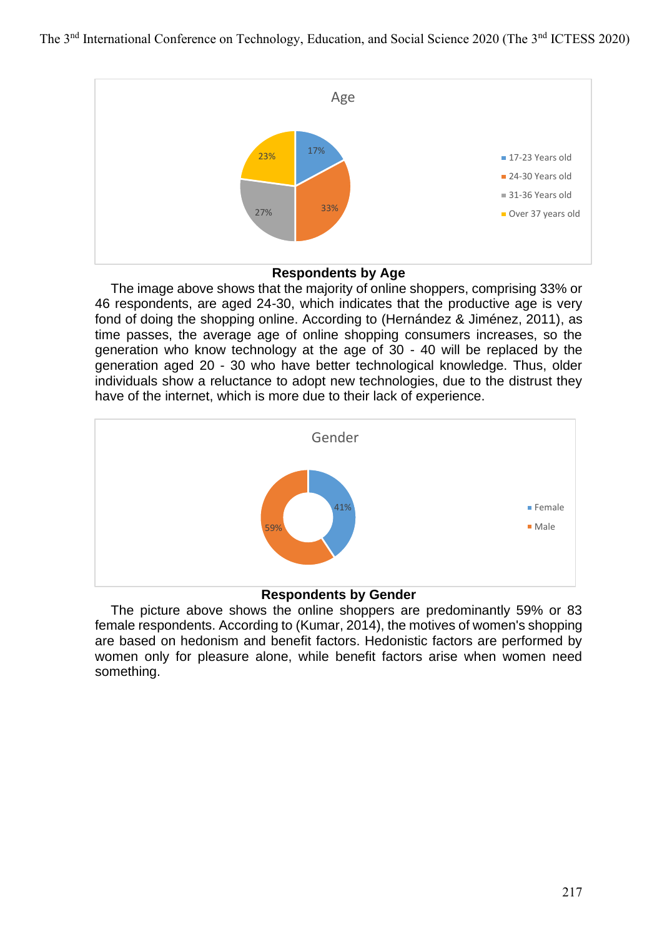

### **Respondents by Age**

The image above shows that the majority of online shoppers, comprising 33% or 46 respondents, are aged 24-30, which indicates that the productive age is very fond of doing the shopping online. According to (Hernández & Jiménez, 2011), as time passes, the average age of online shopping consumers increases, so the generation who know technology at the age of 30 - 40 will be replaced by the generation aged 20 - 30 who have better technological knowledge. Thus, older individuals show a reluctance to adopt new technologies, due to the distrust they have of the internet, which is more due to their lack of experience.



#### **Respondents by Gender**

The picture above shows the online shoppers are predominantly 59% or 83 female respondents. According to (Kumar, 2014), the motives of women's shopping are based on hedonism and benefit factors. Hedonistic factors are performed by women only for pleasure alone, while benefit factors arise when women need something.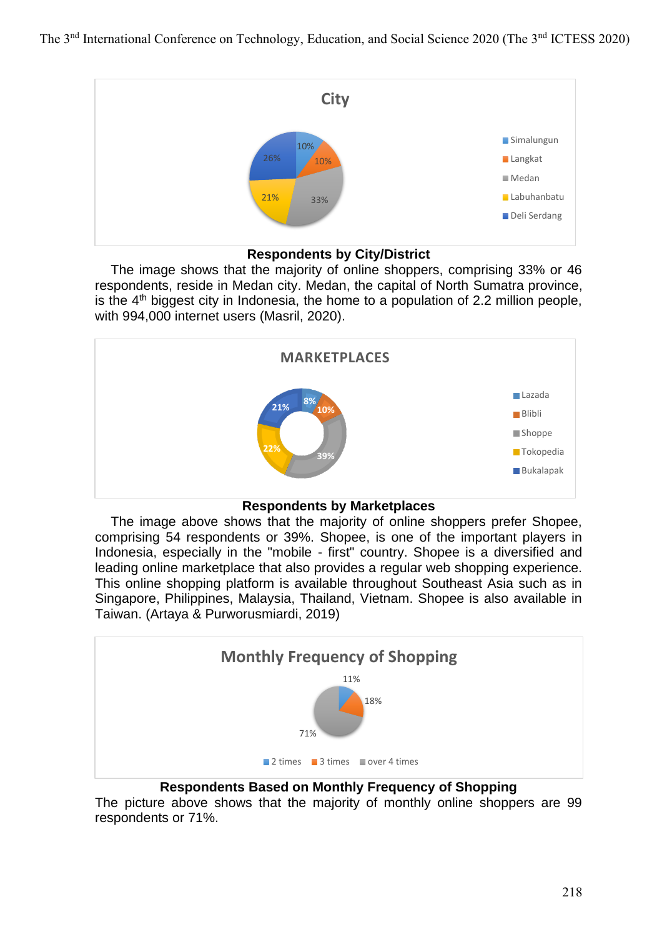

### **Respondents by City/District**

The image shows that the majority of online shoppers, comprising 33% or 46 respondents, reside in Medan city. Medan, the capital of North Sumatra province, is the  $4<sup>th</sup>$  biggest city in Indonesia, the home to a population of 2.2 million people, with 994,000 internet users (Masril, 2020).



**Respondents by Marketplaces**

The image above shows that the majority of online shoppers prefer Shopee, comprising 54 respondents or 39%. Shopee, is one of the important players in Indonesia, especially in the "mobile - first" country. Shopee is a diversified and leading online marketplace that also provides a regular web shopping experience. This online shopping platform is available throughout Southeast Asia such as in Singapore, Philippines, Malaysia, Thailand, Vietnam. Shopee is also available in Taiwan. (Artaya & Purworusmiardi, 2019)



## **Respondents Based on Monthly Frequency of Shopping**

The picture above shows that the majority of monthly online shoppers are 99 respondents or 71%.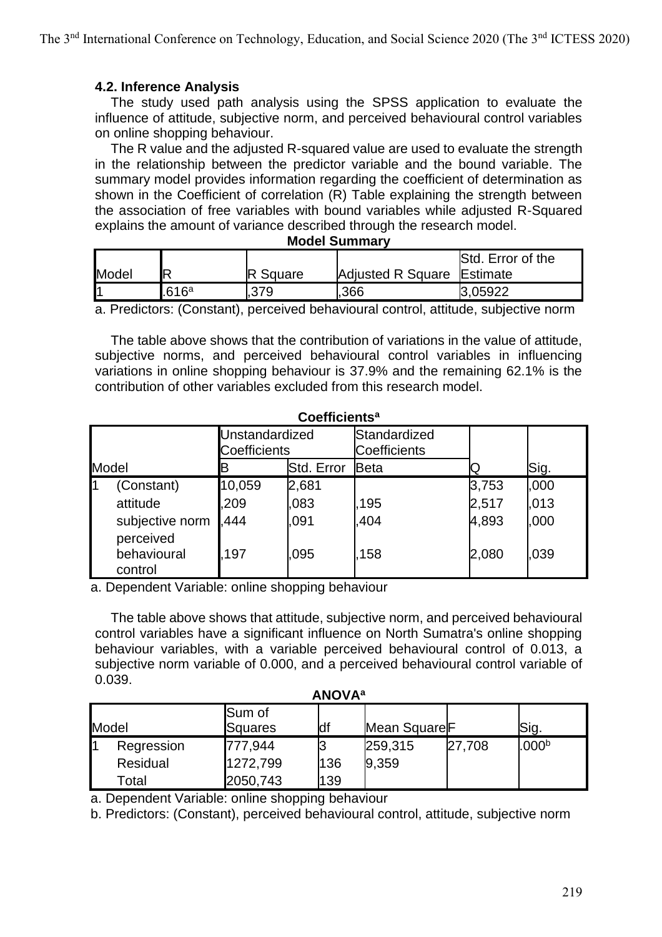### **4.2. Inference Analysis**

The study used path analysis using the SPSS application to evaluate the influence of attitude, subjective norm, and perceived behavioural control variables on online shopping behaviour.

The R value and the adjusted R-squared value are used to evaluate the strength in the relationship between the predictor variable and the bound variable. The summary model provides information regarding the coefficient of determination as shown in the Coefficient of correlation (R) Table explaining the strength between the association of free variables with bound variables while adjusted R-Squared explains the amount of variance described through the research model.

|       |                          |          |                            | Std. Error of the |
|-------|--------------------------|----------|----------------------------|-------------------|
| Model |                          | . Square | Adjusted R Square Estimate |                   |
|       | 616a                     | .379     | .366                       | 3.05922           |
| -     | $\overline{\phantom{a}}$ |          |                            |                   |

#### **Model Summary**

a. Predictors: (Constant), perceived behavioural control, attitude, subjective norm

The table above shows that the contribution of variations in the value of attitude, subjective norms, and perceived behavioural control variables in influencing variations in online shopping behaviour is 37.9% and the remaining 62.1% is the contribution of other variables excluded from this research model.

| <b>UUBIIIUIBIIII</b> |                              |                                |              |                              |                |              |  |  |
|----------------------|------------------------------|--------------------------------|--------------|------------------------------|----------------|--------------|--|--|
|                      |                              | Unstandardized<br>Coefficients |              | Standardized<br>Coefficients |                |              |  |  |
| Model                |                              |                                | Std. Error   | Beta                         |                | Sig.         |  |  |
| 11                   | (Constant)<br>attitude       | 10,059<br>209                  | 2,681<br>083 | 195                          | 3,753<br>2,517 | ,000<br>.013 |  |  |
|                      | subjective norm<br>perceived | .444                           | .091         | .404                         | 4,893          | ,000         |  |  |
|                      | behavioural<br>control       | 197                            | 095          | 158                          | 2,080          | .039         |  |  |

**Coefficients<sup>a</sup>**

a. Dependent Variable: online shopping behaviour

The table above shows that attitude, subjective norm, and perceived behavioural control variables have a significant influence on North Sumatra's online shopping behaviour variables, with a variable perceived behavioural control of 0.013, a subjective norm variable of 0.000, and a perceived behavioural control variable of 0.039.

| <b>ANOVA</b> <sup>a</sup> |                 |                   |     |                          |        |                   |  |
|---------------------------|-----------------|-------------------|-----|--------------------------|--------|-------------------|--|
|                           | Model           | Sum of<br>Squares | df  | Mean Square <sup>F</sup> |        | Sig.              |  |
|                           | Regression      | 777,944           |     | 259,315                  | 27,708 | .000 <sup>b</sup> |  |
|                           | <b>Residual</b> | 1272,799          | 136 | 9,359                    |        |                   |  |
|                           | Total           | 2050,743          | 139 |                          |        |                   |  |

a. Dependent Variable: online shopping behaviour

b. Predictors: (Constant), perceived behavioural control, attitude, subjective norm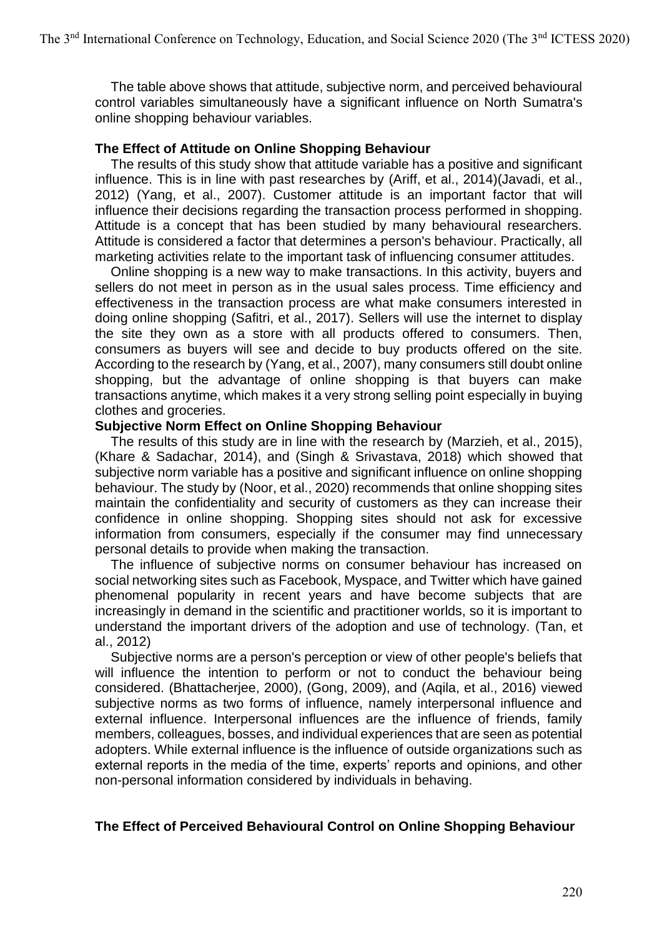The table above shows that attitude, subjective norm, and perceived behavioural control variables simultaneously have a significant influence on North Sumatra's online shopping behaviour variables.

### **The Effect of Attitude on Online Shopping Behaviour**

The results of this study show that attitude variable has a positive and significant influence. This is in line with past researches by (Ariff, et al., 2014)(Javadi, et al., 2012) (Yang, et al., 2007). Customer attitude is an important factor that will influence their decisions regarding the transaction process performed in shopping. Attitude is a concept that has been studied by many behavioural researchers. Attitude is considered a factor that determines a person's behaviour. Practically, all marketing activities relate to the important task of influencing consumer attitudes.

Online shopping is a new way to make transactions. In this activity, buyers and sellers do not meet in person as in the usual sales process. Time efficiency and effectiveness in the transaction process are what make consumers interested in doing online shopping (Safitri, et al., 2017). Sellers will use the internet to display the site they own as a store with all products offered to consumers. Then, consumers as buyers will see and decide to buy products offered on the site. According to the research by (Yang, et al., 2007), many consumers still doubt online shopping, but the advantage of online shopping is that buyers can make transactions anytime, which makes it a very strong selling point especially in buying clothes and groceries.

#### **Subjective Norm Effect on Online Shopping Behaviour**

The results of this study are in line with the research by (Marzieh, et al., 2015), (Khare & Sadachar, 2014), and (Singh & Srivastava, 2018) which showed that subjective norm variable has a positive and significant influence on online shopping behaviour. The study by (Noor, et al., 2020) recommends that online shopping sites maintain the confidentiality and security of customers as they can increase their confidence in online shopping. Shopping sites should not ask for excessive information from consumers, especially if the consumer may find unnecessary personal details to provide when making the transaction.

The influence of subjective norms on consumer behaviour has increased on social networking sites such as Facebook, Myspace, and Twitter which have gained phenomenal popularity in recent years and have become subjects that are increasingly in demand in the scientific and practitioner worlds, so it is important to understand the important drivers of the adoption and use of technology. (Tan, et al., 2012)

Subjective norms are a person's perception or view of other people's beliefs that will influence the intention to perform or not to conduct the behaviour being considered. (Bhattacherjee, 2000), (Gong, 2009), and (Aqila, et al., 2016) viewed subjective norms as two forms of influence, namely interpersonal influence and external influence. Interpersonal influences are the influence of friends, family members, colleagues, bosses, and individual experiences that are seen as potential adopters. While external influence is the influence of outside organizations such as external reports in the media of the time, experts' reports and opinions, and other non-personal information considered by individuals in behaving.

## **The Effect of Perceived Behavioural Control on Online Shopping Behaviour**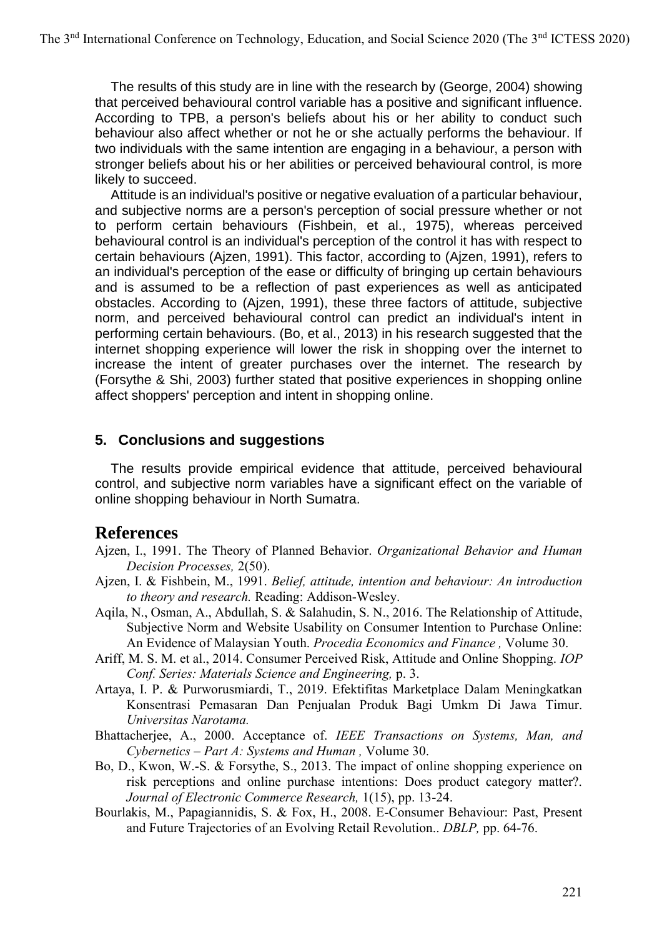The results of this study are in line with the research by (George, 2004) showing that perceived behavioural control variable has a positive and significant influence. According to TPB, a person's beliefs about his or her ability to conduct such behaviour also affect whether or not he or she actually performs the behaviour. If two individuals with the same intention are engaging in a behaviour, a person with stronger beliefs about his or her abilities or perceived behavioural control, is more likely to succeed.

Attitude is an individual's positive or negative evaluation of a particular behaviour, and subjective norms are a person's perception of social pressure whether or not to perform certain behaviours (Fishbein, et al., 1975), whereas perceived behavioural control is an individual's perception of the control it has with respect to certain behaviours (Ajzen, 1991). This factor, according to (Ajzen, 1991), refers to an individual's perception of the ease or difficulty of bringing up certain behaviours and is assumed to be a reflection of past experiences as well as anticipated obstacles. According to (Ajzen, 1991), these three factors of attitude, subjective norm, and perceived behavioural control can predict an individual's intent in performing certain behaviours. (Bo, et al., 2013) in his research suggested that the internet shopping experience will lower the risk in shopping over the internet to increase the intent of greater purchases over the internet. The research by (Forsythe & Shi, 2003) further stated that positive experiences in shopping online affect shoppers' perception and intent in shopping online.

## **5. Conclusions and suggestions**

The results provide empirical evidence that attitude, perceived behavioural control, and subjective norm variables have a significant effect on the variable of online shopping behaviour in North Sumatra.

## **References**

Ajzen, I., 1991. The Theory of Planned Behavior. *Organizational Behavior and Human Decision Processes,* 2(50).

- Ajzen, I. & Fishbein, M., 1991. *Belief, attitude, intention and behaviour: An introduction to theory and research.* Reading: Addison-Wesley.
- Aqila, N., Osman, A., Abdullah, S. & Salahudin, S. N., 2016. The Relationship of Attitude, Subjective Norm and Website Usability on Consumer Intention to Purchase Online: An Evidence of Malaysian Youth. *Procedia Economics and Finance ,* Volume 30.
- Ariff, M. S. M. et al., 2014. Consumer Perceived Risk, Attitude and Online Shopping. *IOP Conf. Series: Materials Science and Engineering,* p. 3.
- Artaya, I. P. & Purworusmiardi, T., 2019. Efektifitas Marketplace Dalam Meningkatkan Konsentrasi Pemasaran Dan Penjualan Produk Bagi Umkm Di Jawa Timur. *Universitas Narotama.*
- Bhattacherjee, A., 2000. Acceptance of. *IEEE Transactions on Systems, Man, and Cybernetics – Part A: Systems and Human ,* Volume 30.
- Bo, D., Kwon, W.-S. & Forsythe, S., 2013. The impact of online shopping experience on risk perceptions and online purchase intentions: Does product category matter?. *Journal of Electronic Commerce Research,* 1(15), pp. 13-24.
- Bourlakis, M., Papagiannidis, S. & Fox, H., 2008. E-Consumer Behaviour: Past, Present and Future Trajectories of an Evolving Retail Revolution.. *DBLP,* pp. 64-76.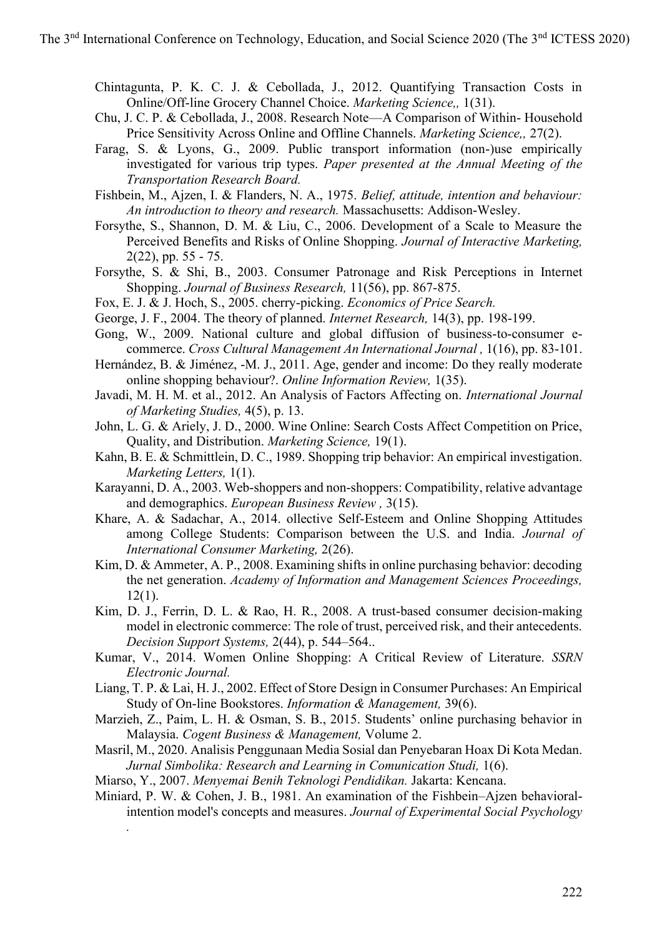Chintagunta, P. K. C. J. & Cebollada, J., 2012. Quantifying Transaction Costs in Online/Off-line Grocery Channel Choice. *Marketing Science,,* 1(31).

- Chu, J. C. P. & Cebollada, J., 2008. Research Note—A Comparison of Within- Household Price Sensitivity Across Online and Offline Channels. *Marketing Science,,* 27(2).
- Farag, S. & Lyons, G., 2009. Public transport information (non-)use empirically investigated for various trip types. *Paper presented at the Annual Meeting of the Transportation Research Board.*
- Fishbein, M., Ajzen, I. & Flanders, N. A., 1975. *Belief, attitude, intention and behaviour: An introduction to theory and research.* Massachusetts: Addison-Wesley.
- Forsythe, S., Shannon, D. M. & Liu, C., 2006. Development of a Scale to Measure the Perceived Benefits and Risks of Online Shopping. *Journal of Interactive Marketing,*  2(22), pp. 55 - 75.
- Forsythe, S. & Shi, B., 2003. Consumer Patronage and Risk Perceptions in Internet Shopping. *Journal of Business Research,* 11(56), pp. 867-875.
- Fox, E. J. & J. Hoch, S., 2005. cherry-picking. *Economics of Price Search.*
- George, J. F., 2004. The theory of planned. *Internet Research,* 14(3), pp. 198-199.
- Gong, W., 2009. National culture and global diffusion of business-to-consumer ecommerce. *Cross Cultural Management An International Journal ,* 1(16), pp. 83-101.
- Hernández, B. & Jiménez, -M. J., 2011. Age, gender and income: Do they really moderate online shopping behaviour?. *Online Information Review,* 1(35).
- Javadi, M. H. M. et al., 2012. An Analysis of Factors Affecting on. *International Journal of Marketing Studies,* 4(5), p. 13.
- John, L. G. & Ariely, J. D., 2000. Wine Online: Search Costs Affect Competition on Price, Quality, and Distribution. *Marketing Science,* 19(1).
- Kahn, B. E. & Schmittlein, D. C., 1989. Shopping trip behavior: An empirical investigation. *Marketing Letters,* 1(1).
- Karayanni, D. A., 2003. Web-shoppers and non-shoppers: Compatibility, relative advantage and demographics. *European Business Review ,* 3(15).
- Khare, A. & Sadachar, A., 2014. ollective Self-Esteem and Online Shopping Attitudes among College Students: Comparison between the U.S. and India. *Journal of International Consumer Marketing,* 2(26).
- Kim, D. & Ammeter, A. P., 2008. Examining shifts in online purchasing behavior: decoding the net generation. *Academy of Information and Management Sciences Proceedings,* 12(1).
- Kim, D. J., Ferrin, D. L. & Rao, H. R., 2008. A trust-based consumer decision-making model in electronic commerce: The role of trust, perceived risk, and their antecedents. *Decision Support Systems,* 2(44), p. 544–564..
- Kumar, V., 2014. Women Online Shopping: A Critical Review of Literature. *SSRN Electronic Journal.*
- Liang, T. P. & Lai, H. J., 2002. Effect of Store Design in Consumer Purchases: An Empirical Study of On-line Bookstores. *Information & Management,* 39(6).
- Marzieh, Z., Paim, L. H. & Osman, S. B., 2015. Students' online purchasing behavior in Malaysia. *Cogent Business & Management,* Volume 2.
- Masril, M., 2020. Analisis Penggunaan Media Sosial dan Penyebaran Hoax Di Kota Medan. Jurnal Simbolika: Research and Learning in Comunication Studi, 1(6).
- Miarso, Y., 2007. *Menyemai Benih Teknologi Pendidikan.* Jakarta: Kencana.

*.*

Miniard, P. W. & Cohen, J. B., 1981. An examination of the Fishbein–Ajzen behavioralintention model's concepts and measures. *Journal of Experimental Social Psychology*